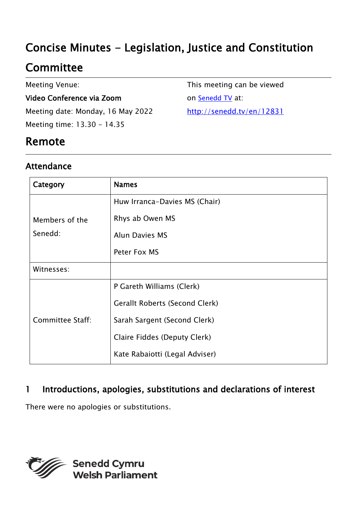# Concise Minutes - Legislation, Justice and Constitution

# **Committee**

Meeting Venue:

#### Video Conference via Zoom

Meeting date: Monday, 16 May 2022 Meeting time: 13.30 - 14.35

This meeting can be viewed on [Senedd TV](http://senedd.tv/) at: http://senedd.tv/en/12831

### Remote

### Attendance

| Category                  | <b>Names</b>                          |
|---------------------------|---------------------------------------|
| Members of the<br>Senedd: | Huw Irranca-Davies MS (Chair)         |
|                           | Rhys ab Owen MS                       |
|                           | <b>Alun Davies MS</b>                 |
|                           | Peter Fox MS                          |
| Witnesses:                |                                       |
| <b>Committee Staff:</b>   | P Gareth Williams (Clerk)             |
|                           | <b>Gerallt Roberts (Second Clerk)</b> |
|                           | Sarah Sargent (Second Clerk)          |
|                           | Claire Fiddes (Deputy Clerk)          |
|                           | Kate Rabaiotti (Legal Adviser)        |

### 1 Introductions, apologies, substitutions and declarations of interest

There were no apologies or substitutions.

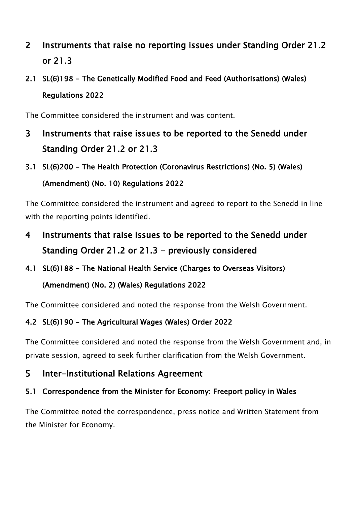### 2 Instruments that raise no reporting issues under Standing Order 21.2 or 21.3

## 2.1 SL(6)198 - The Genetically Modified Food and Feed (Authorisations) (Wales) Regulations 2022

The Committee considered the instrument and was content.

- 3 Instruments that raise issues to be reported to the Senedd under Standing Order 21.2 or 21.3
- 3.1 SL(6)200 The Health Protection (Coronavirus Restrictions) (No. 5) (Wales) (Amendment) (No. 10) Regulations 2022

The Committee considered the instrument and agreed to report to the Senedd in line with the reporting points identified.

- 4 Instruments that raise issues to be reported to the Senedd under Standing Order 21.2 or 21.3 - previously considered
- 4.1 SL(6)188 The National Health Service (Charges to Overseas Visitors)

#### (Amendment) (No. 2) (Wales) Regulations 2022

The Committee considered and noted the response from the Welsh Government.

#### 4.2 SL(6)190 - The Agricultural Wages (Wales) Order 2022

The Committee considered and noted the response from the Welsh Government and, in private session, agreed to seek further clarification from the Welsh Government.

#### 5 Inter-Institutional Relations Agreement

#### 5.1 Correspondence from the Minister for Economy: Freeport policy in Wales

The Committee noted the correspondence, press notice and Written Statement from the Minister for Economy.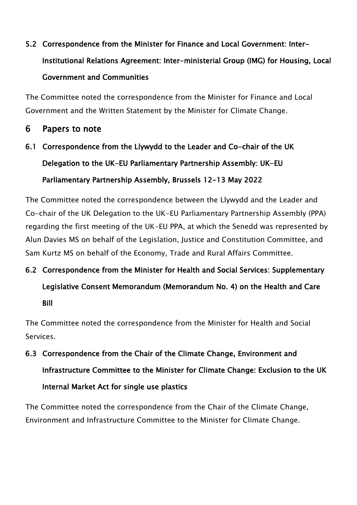# 5.2 Correspondence from the Minister for Finance and Local Government: Inter-Institutional Relations Agreement: Inter-ministerial Group (IMG) for Housing, Local Government and Communities

The Committee noted the correspondence from the Minister for Finance and Local Government and the Written Statement by the Minister for Climate Change.

#### 6 Papers to note

6.1 Correspondence from the Llywydd to the Leader and Co-chair of the UK Delegation to the UK-EU Parliamentary Partnership Assembly: UK-EU Parliamentary Partnership Assembly, Brussels 12-13 May 2022

The Committee noted the correspondence between the Llywydd and the Leader and Co-chair of the UK Delegation to the UK-EU Parliamentary Partnership Assembly (PPA) regarding the first meeting of the UK-EU PPA, at which the Senedd was represented by Alun Davies MS on behalf of the Legislation, Justice and Constitution Committee, and Sam Kurtz MS on behalf of the Economy, Trade and Rural Affairs Committee.

# 6.2 Correspondence from the Minister for Health and Social Services: Supplementary Legislative Consent Memorandum (Memorandum No. 4) on the Health and Care Bill

The Committee noted the correspondence from the Minister for Health and Social Services.

6.3 Correspondence from the Chair of the Climate Change, Environment and Infrastructure Committee to the Minister for Climate Change: Exclusion to the UK Internal Market Act for single use plastics

The Committee noted the correspondence from the Chair of the Climate Change, Environment and Infrastructure Committee to the Minister for Climate Change.